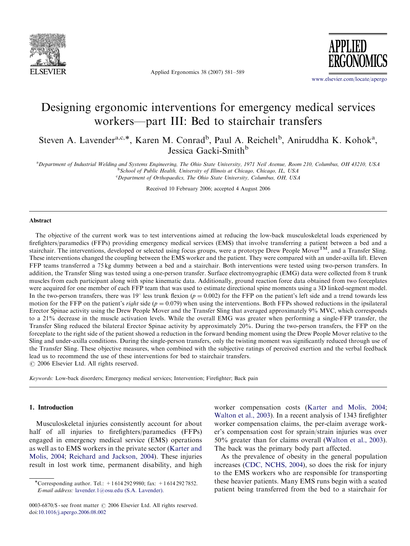

Applied Ergonomics 38 (2007) 581–589

**APPLIED** 

<www.elsevier.com/locate/apergo>

## Designing ergonomic interventions for emergency medical services workers—part III: Bed to stairchair transfers

Steven A. Lavender<sup>a,c,\*</sup>, Karen M. Conrad<sup>b</sup>, Paul A. Reichelt<sup>b</sup>, Aniruddha K. Kohok<sup>a</sup>, Jessica Gacki-Smith<sup>b</sup>

a Department of Industrial Welding and Systems Engineering, The Ohio State University, 1971 Neil Avenue, Room 210, Columbus, OH 43210, USA <sup>b</sup>School of Public Health, University of Illinois at Chicago, Chicago, IL, USA

<sup>c</sup>Department of Orthopaedics, The Ohio State University, Columbus, OH, USA

Received 10 February 2006; accepted 4 August 2006

## Abstract

The objective of the current work was to test interventions aimed at reducing the low-back musculoskeletal loads experienced by firefighters/paramedics (FFPs) providing emergency medical services (EMS) that involve transferring a patient between a bed and a stairchair. The interventions, developed or selected using focus groups, were a prototype Drew People Mover $^{TM}$ , and a Transfer Sling. These interventions changed the coupling between the EMS worker and the patient. They were compared with an under-axilla lift. Eleven FFP teams transferred a 75 kg dummy between a bed and a stairchair. Both interventions were tested using two-person transfers. In addition, the Transfer Sling was tested using a one-person transfer. Surface electromyographic (EMG) data were collected from 8 trunk muscles from each participant along with spine kinematic data. Additionally, ground reaction force data obtained from two forceplates were acquired for one member of each FFP team that was used to estimate directional spine moments using a 3D linked-segment model. In the two-person transfers, there was 19° less trunk flexion ( $p = 0.002$ ) for the FFP on the patient's left side and a trend towards less motion for the FFP on the patient's right side ( $p = 0.079$ ) when using the interventions. Both FFPs showed reductions in the ipsilateral Erector Spinae activity using the Drew People Mover and the Transfer Sling that averaged approximately 9% MVC, which corresponds to a 21% decrease in the muscle activation levels. While the overall EMG was greater when performing a single-FFP transfer, the Transfer Sling reduced the bilateral Erector Spinae activity by approximately 20%. During the two-person transfers, the FFP on the forceplate to the right side of the patient showed a reduction in the forward bending moment using the Drew People Mover relative to the Sling and under-axilla conditions. During the single-person transfers, only the twisting moment was significantly reduced through use of the Transfer Sling. These objective measures, when combined with the subjective ratings of perceived exertion and the verbal feedback lead us to recommend the use of these interventions for bed to stairchair transfers.  $\odot$  2006 Elsevier Ltd. All rights reserved.

Keywords: Low-back disorders; Emergency medical services; Intervention; Firefighter; Back pain

## 1. Introduction

Musculoskeletal injuries consistently account for about half of all injuries to firefighters/paramedics (FFPs) engaged in emergency medical service (EMS) operations as well as to EMS workers in the private sector ([Karter and](#page--1-0) [Molis, 2004;](#page--1-0) [Reichard and Jackson, 2004\)](#page--1-0). These injuries result in lost work time, permanent disability, and high worker compensation costs ([Karter and Molis, 2004;](#page--1-0) [Walton et al., 2003\)](#page--1-0). In a recent analysis of 1343 firefighter worker compensation claims, the per-claim average worker's compensation cost for sprain/strain injuries was over 50% greater than for claims overall [\(Walton et al., 2003\)](#page--1-0). The back was the primary body part affected.

As the prevalence of obesity in the general population increases [\(CDC, NCHS, 2004](#page--1-0)), so does the risk for injury to the EMS workers who are responsible for transporting these heavier patients. Many EMS runs begin with a seated patient being transferred from the bed to a stairchair for

<sup>\*</sup>Corresponding author. Tel.: +16142929980; fax: +16142927852. E-mail address: [lavender.1@osu.edu \(S.A. Lavender\).](mailto:lavender.1@osu.edu)

<sup>0003-6870/\$ -</sup> see front matter © 2006 Elsevier Ltd. All rights reserved. doi:[10.1016/j.apergo.2006.08.002](dx.doi.org/10.1016/j.apergo.2006.08.002)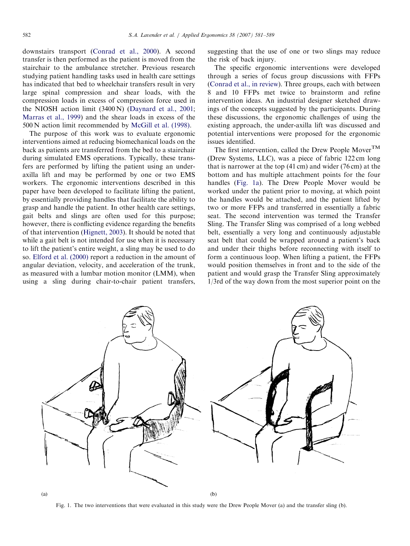downstairs transport [\(Conrad et al., 2000\)](#page--1-0). A second transfer is then performed as the patient is moved from the stairchair to the ambulance stretcher. Previous research studying patient handling tasks used in health care settings has indicated that bed to wheelchair transfers result in very large spinal compression and shear loads, with the compression loads in excess of compression force used in the NIOSH action limit (3400 N) [\(Daynard et al., 2001](#page--1-0); [Marras et al., 1999](#page--1-0)) and the shear loads in excess of the 500 N action limit recommended by [McGill et al. \(1998\).](#page--1-0)

The purpose of this work was to evaluate ergonomic interventions aimed at reducing biomechanical loads on the back as patients are transferred from the bed to a stairchair during simulated EMS operations. Typically, these transfers are performed by lifting the patient using an underaxilla lift and may be performed by one or two EMS workers. The ergonomic interventions described in this paper have been developed to facilitate lifting the patient, by essentially providing handles that facilitate the ability to grasp and handle the patient. In other health care settings, gait belts and slings are often used for this purpose; however, there is conflicting evidence regarding the benefits of that intervention [\(Hignett, 2003\)](#page--1-0). It should be noted that while a gait belt is not intended for use when it is necessary to lift the patient's entire weight, a sling may be used to do so. [Elford et al. \(2000\)](#page--1-0) report a reduction in the amount of angular deviation, velocity, and acceleration of the trunk, as measured with a lumbar motion monitor (LMM), when using a sling during chair-to-chair patient transfers,

suggesting that the use of one or two slings may reduce the risk of back injury.

The specific ergonomic interventions were developed through a series of focus group discussions with FFPs [\(Conrad et al., in review](#page--1-0)). Three groups, each with between 8 and 10 FFPs met twice to brainstorm and refine intervention ideas. An industrial designer sketched drawings of the concepts suggested by the participants. During these discussions, the ergonomic challenges of using the existing approach, the under-axilla lift was discussed and potential interventions were proposed for the ergonomic issues identified.

The first intervention, called the Drew People Mover<sup>TM</sup> (Drew Systems, LLC), was a piece of fabric 122 cm long that is narrower at the top (41 cm) and wider (76 cm) at the bottom and has multiple attachment points for the four handles (Fig. 1a). The Drew People Mover would be worked under the patient prior to moving, at which point the handles would be attached, and the patient lifted by two or more FFPs and transferred in essentially a fabric seat. The second intervention was termed the Transfer Sling. The Transfer Sling was comprised of a long webbed belt, essentially a very long and continuously adjustable seat belt that could be wrapped around a patient's back and under their thighs before reconnecting with itself to form a continuous loop. When lifting a patient, the FFPs would position themselves in front and to the side of the patient and would grasp the Transfer Sling approximately 1/3rd of the way down from the most superior point on the



Fig. 1. The two interventions that were evaluated in this study were the Drew People Mover (a) and the transfer sling (b).